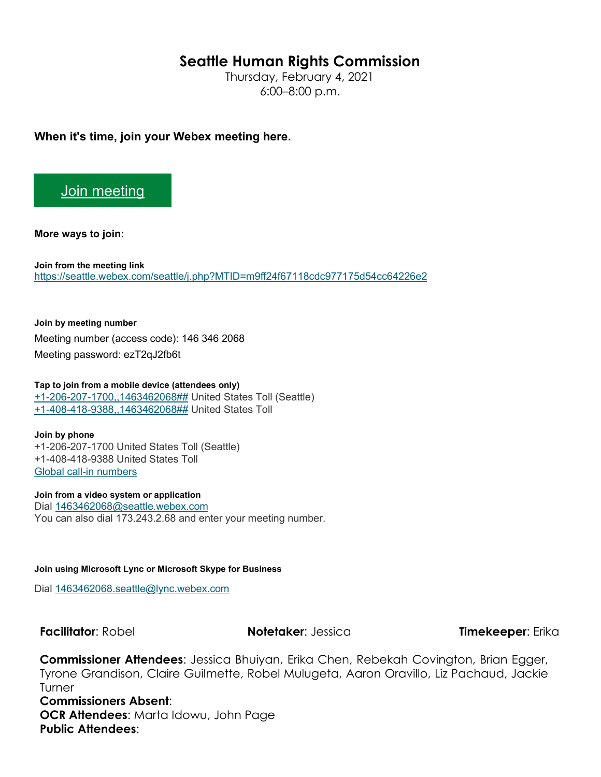## **Seattle Human Rights Commission**

Thursday, February 4, 2021 6:00–8:00 p.m.

**When it's time, join your Webex meeting here.** 

## [Join meeting](https://seattle.webex.com/seattle/j.php?MTID=m9ff24f67118cdc977175d54cc64226e2)

**More ways to join:** 

**Join from the meeting link**  <https://seattle.webex.com/seattle/j.php?MTID=m9ff24f67118cdc977175d54cc64226e2>

**Join by meeting number**  Meeting number (access code): 146 346 2068 Meeting password: ezT2qJ2fb6t

**Tap to join from a mobile device (attendees only)** [+1-206-207-1700,,1463462068##](tel:%2B1-206-207-1700,,*01*1463462068%23%23*01*) United States Toll (Seattle) [+1-408-418-9388,,1463462068##](tel:%2B1-408-418-9388,,*01*1463462068%23%23*01*) United States Toll

**Join by phone** +1-206-207-1700 United States Toll (Seattle) +1-408-418-9388 United States Toll [Global call-in numbers](https://seattle.webex.com/seattle/globalcallin.php?MTID=m957906f260c6dee992a5ec5328f20164)

**Join from a video system or application** Dial [1463462068@seattle.webex.com](sip:1463462068@seattle.webex.com) You can also dial 173.243.2.68 and enter your meeting number.

**Join using Microsoft Lync or Microsoft Skype for Business**

Dial [1463462068.seattle@lync.webex.com](sip:1463462068.seattle@lync.webex.com)

**Facilitator**: Robel **Notetaker**: Jessica **Timekeeper**: Erika

**Commissioner Attendees**: Jessica Bhuiyan, Erika Chen, Rebekah Covington, Brian Egger, Tyrone Grandison, Claire Guilmette, Robel Mulugeta, Aaron Oravillo, Liz Pachaud, Jackie **Turner Commissioners Absent**: **OCR Attendees**: Marta Idowu, John Page **Public Attendees**: